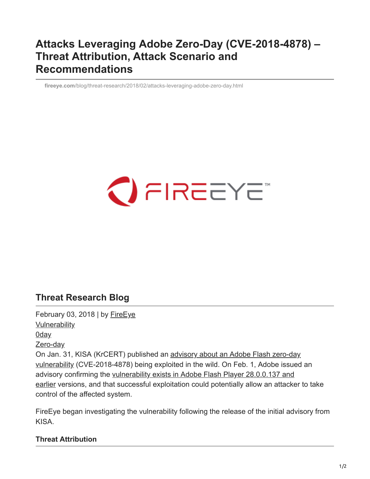## **Attacks Leveraging Adobe Zero-Day (CVE-2018-4878) – Threat Attribution, Attack Scenario and Recommendations**

**fireeye.com**[/blog/threat-research/2018/02/attacks-leveraging-adobe-zero-day.html](https://www.fireeye.com/blog/threat-research/2018/02/attacks-leveraging-adobe-zero-day.html)

# $\bigcirc$  FIREEYE

### **Threat Research Blog**

February 03, 2018 | by [FireEye](https://www.fireeye.com/blog/threat-research.html/category/etc/tags/fireeye-blog-authors/cap-fireeye) **[Vulnerability](https://www.fireeye.com/blog/threat-research.html/category/etc/tags/fireeye-blog-tags/vulnerability)** [0day](https://www.fireeye.com/blog/threat-research.html/category/etc/tags/fireeye-blog-tags/0day) [Zero-day](https://www.fireeye.com/blog/threat-research.html/category/etc/tags/fireeye-blog-tags/zero-day) [On Jan. 31, KISA \(KrCERT\) published an advisory about an Adobe Flash zero-day](https://www.krcert.or.kr/data/secNoticeView.do?bulletin_writing_sequence=26998) vulnerability (CVE-2018-4878) being exploited in the wild. On Feb. 1, Adobe issued an advisory confirming the vulnerability exists in Adobe Flash Player 28.0.0.137 and [earlier versions, and that successful exploitation could potentially allow an attacke](https://helpx.adobe.com/security/products/flash-player/apsa18-01.html)r to take control of the affected system.

FireEye began investigating the vulnerability following the release of the initial advisory from KISA.

#### **Threat Attribution**